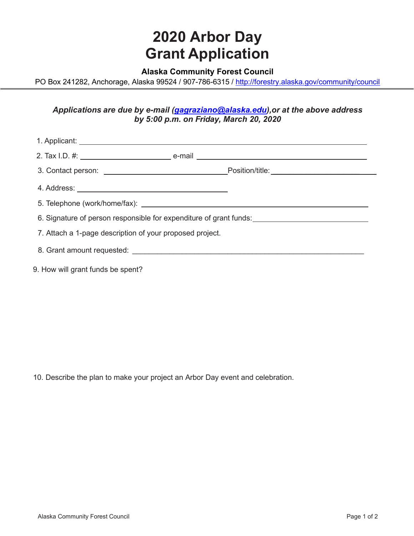## **2020 Arbor Day Grant Application**

## **Alaska Community Forest Council**

PO Box 241282, Anchorage, Alaska 99524 / 907-786-6315 /<http://forestry.alaska.gov/community/council>

## *Applications are due by e-mail [\(gagraziano@alaska.edu\)](mailto:gagraziano@alaska.edu),or at the above address by 5:00 p.m. on Friday, March 20, 2020*

| 6. Signature of person responsible for expenditure of grant funds: _________________________________ |  |  |
|------------------------------------------------------------------------------------------------------|--|--|
| 7. Attach a 1-page description of your proposed project.                                             |  |  |
|                                                                                                      |  |  |
| 9. How will grant funds be spent?                                                                    |  |  |

10. Describe the plan to make your project an Arbor Day event and celebration.